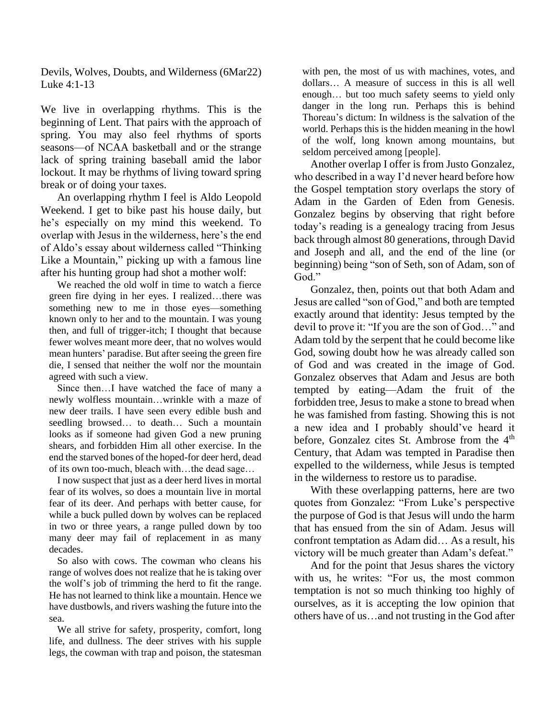Devils, Wolves, Doubts, and Wilderness (6Mar22) Luke 4:1-13

We live in overlapping rhythms. This is the beginning of Lent. That pairs with the approach of spring. You may also feel rhythms of sports seasons—of NCAA basketball and or the strange lack of spring training baseball amid the labor lockout. It may be rhythms of living toward spring break or of doing your taxes.

An overlapping rhythm I feel is Aldo Leopold Weekend. I get to bike past his house daily, but he's especially on my mind this weekend. To overlap with Jesus in the wilderness, here's the end of Aldo's essay about wilderness called "Thinking Like a Mountain," picking up with a famous line after his hunting group had shot a mother wolf:

We reached the old wolf in time to watch a fierce green fire dying in her eyes. I realized…there was something new to me in those eyes—something known only to her and to the mountain. I was young then, and full of trigger-itch; I thought that because fewer wolves meant more deer, that no wolves would mean hunters' paradise. But after seeing the green fire die, I sensed that neither the wolf nor the mountain agreed with such a view.

Since then…I have watched the face of many a newly wolfless mountain…wrinkle with a maze of new deer trails. I have seen every edible bush and seedling browsed… to death… Such a mountain looks as if someone had given God a new pruning shears, and forbidden Him all other exercise. In the end the starved bones of the hoped-for deer herd, dead of its own too-much, bleach with…the dead sage…

I now suspect that just as a deer herd lives in mortal fear of its wolves, so does a mountain live in mortal fear of its deer. And perhaps with better cause, for while a buck pulled down by wolves can be replaced in two or three years, a range pulled down by too many deer may fail of replacement in as many decades.

So also with cows. The cowman who cleans his range of wolves does not realize that he is taking over the wolf's job of trimming the herd to fit the range. He has not learned to think like a mountain. Hence we have dustbowls, and rivers washing the future into the sea.

We all strive for safety, prosperity, comfort, long life, and dullness. The deer strives with his supple legs, the cowman with trap and poison, the statesman

with pen, the most of us with machines, votes, and dollars… A measure of success in this is all well enough… but too much safety seems to yield only danger in the long run. Perhaps this is behind Thoreau's dictum: In wildness is the salvation of the world. Perhaps this is the hidden meaning in the howl of the wolf, long known among mountains, but seldom perceived among [people].

Another overlap I offer is from Justo Gonzalez, who described in a way I'd never heard before how the Gospel temptation story overlaps the story of Adam in the Garden of Eden from Genesis. Gonzalez begins by observing that right before today's reading is a genealogy tracing from Jesus back through almost 80 generations, through David and Joseph and all, and the end of the line (or beginning) being "son of Seth, son of Adam, son of God."

Gonzalez, then, points out that both Adam and Jesus are called "son of God," and both are tempted exactly around that identity: Jesus tempted by the devil to prove it: "If you are the son of God…" and Adam told by the serpent that he could become like God, sowing doubt how he was already called son of God and was created in the image of God. Gonzalez observes that Adam and Jesus are both tempted by eating—Adam the fruit of the forbidden tree, Jesus to make a stone to bread when he was famished from fasting. Showing this is not a new idea and I probably should've heard it before, Gonzalez cites St. Ambrose from the 4<sup>th</sup> Century, that Adam was tempted in Paradise then expelled to the wilderness, while Jesus is tempted in the wilderness to restore us to paradise.

With these overlapping patterns, here are two quotes from Gonzalez: "From Luke's perspective the purpose of God is that Jesus will undo the harm that has ensued from the sin of Adam. Jesus will confront temptation as Adam did… As a result, his victory will be much greater than Adam's defeat."

And for the point that Jesus shares the victory with us, he writes: "For us, the most common temptation is not so much thinking too highly of ourselves, as it is accepting the low opinion that others have of us…and not trusting in the God after